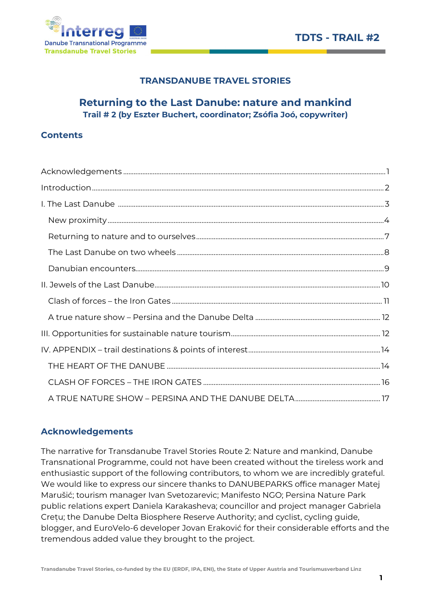

# TRANSDANUBE TRAVEL STORIES

# Returning to the Last Danube: nature and mankind Trail # 2 (by Eszter Buchert, coordinator; Zsófia Joó, copywriter)

### **Contents**

# Acknowledgements

The narrative for Transdanube Travel Stories Route 2: Nature and mankind, Danube Transnational Programme, could not have been created without the tireless work and enthusiastic support of the following contributors, to whom we are incredibly grateful. We would like to express our sincere thanks to DANUBEPARKS office manager Matej Marušić; tourism manager Ivan Svetozarevic; Manifesto NGO; Persina Nature Park public relations expert Daniela Karakasheva; councillor and project manager Gabriela Crețu; the Danube Delta Biosphere Reserve Authority; and cyclist, cycling guide, blogger, and EuroVelo-6 developer Jovan Eraković for their considerable efforts and the tremendous added value they brought to the project.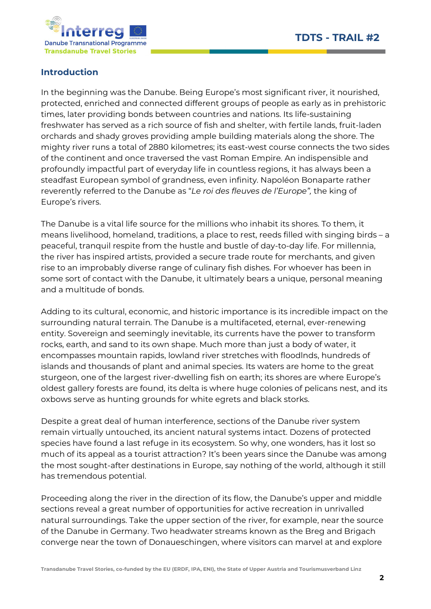

# Introduction

In the beginning was the Danube. Being Europe's most significant river, it nourished, protected, enriched and connected different groups of people as early as in prehistoric times, later providing bonds between countries and nations. Its life-sustaining freshwater has served as a rich source of fish and shelter, with fertile lands, fruit-laden orchards and shady groves providing ample building materials along the shore. The mighty river runs a total of 2880 kilometres; its east-west course connects the two sides of the continent and once traversed the vast Roman Empire. An indispensible and profoundly impactful part of everyday life in countless regions, it has always been a steadfast European symbol of grandness, even infinity. Napoléon Bonaparte rather reverently referred to the Danube as "Le roi des fleuves de l'Europe", the king of Europe's rivers.

The Danube is a vital life source for the millions who inhabit its shores. To them, it means livelihood, homeland, traditions, a place to rest, reeds filled with singing birds – a peaceful, tranquil respite from the hustle and bustle of day-to-day life. For millennia, the river has inspired artists, provided a secure trade route for merchants, and given rise to an improbably diverse range of culinary fish dishes. For whoever has been in some sort of contact with the Danube, it ultimately bears a unique, personal meaning and a multitude of bonds.

Adding to its cultural, economic, and historic importance is its incredible impact on the surrounding natural terrain. The Danube is a multifaceted, eternal, ever-renewing entity. Sovereign and seemingly inevitable, its currents have the power to transform rocks, earth, and sand to its own shape. Much more than just a body of water, it encompasses mountain rapids, lowland river stretches with floodlnds, hundreds of islands and thousands of plant and animal species. Its waters are home to the great sturgeon, one of the largest river-dwelling fish on earth; its shores are where Europe's oldest gallery forests are found, its delta is where huge colonies of pelicans nest, and its oxbows serve as hunting grounds for white egrets and black storks.

Despite a great deal of human interference, sections of the Danube river system remain virtually untouched, its ancient natural systems intact. Dozens of protected species have found a last refuge in its ecosystem. So why, one wonders, has it lost so much of its appeal as a tourist attraction? It's been years since the Danube was among the most sought-after destinations in Europe, say nothing of the world, although it still has tremendous potential.

Proceeding along the river in the direction of its flow, the Danube's upper and middle sections reveal a great number of opportunities for active recreation in unrivalled natural surroundings. Take the upper section of the river, for example, near the source of the Danube in Germany. Two headwater streams known as the Breg and Brigach converge near the town of Donaueschingen, where visitors can marvel at and explore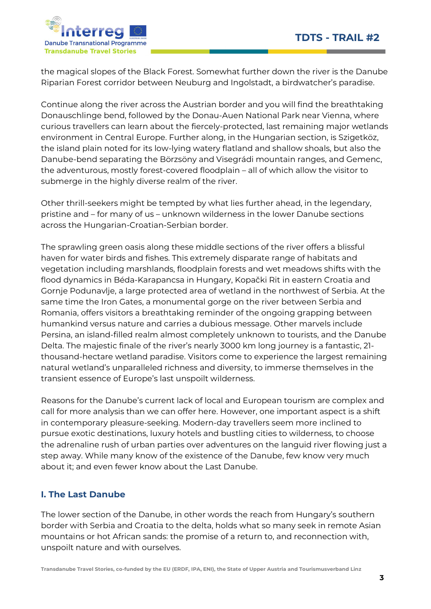

the magical slopes of the Black Forest. Somewhat further down the river is the Danube Riparian Forest corridor between Neuburg and Ingolstadt, a birdwatcher's paradise.

Continue along the river across the Austrian border and you will find the breathtaking Donauschlinge bend, followed by the Donau-Auen National Park near Vienna, where curious travellers can learn about the fiercely-protected, last remaining major wetlands environment in Central Europe. Further along, in the Hungarian section, is Szigetköz, the island plain noted for its low-lying watery flatland and shallow shoals, but also the Danube-bend separating the Börzsöny and Visegrádi mountain ranges, and Gemenc, the adventurous, mostly forest-covered floodplain – all of which allow the visitor to submerge in the highly diverse realm of the river.

Other thrill-seekers might be tempted by what lies further ahead, in the legendary, pristine and – for many of us – unknown wilderness in the lower Danube sections across the Hungarian-Croatian-Serbian border.

The sprawling green oasis along these middle sections of the river offers a blissful haven for water birds and fishes. This extremely disparate range of habitats and vegetation including marshlands, floodplain forests and wet meadows shifts with the flood dynamics in Béda-Karapancsa in Hungary, Kopački Rit in eastern Croatia and Gornje Podunavlje, a large protected area of wetland in the northwest of Serbia. At the same time the Iron Gates, a monumental gorge on the river between Serbia and Romania, offers visitors a breathtaking reminder of the ongoing grapping between humankind versus nature and carries a dubious message. Other marvels include Persina, an island-filled realm almost completely unknown to tourists, and the Danube Delta. The majestic finale of the river's nearly 3000 km long journey is a fantastic, 21 thousand-hectare wetland paradise. Visitors come to experience the largest remaining natural wetland's unparalleled richness and diversity, to immerse themselves in the transient essence of Europe's last unspoilt wilderness.

Reasons for the Danube's current lack of local and European tourism are complex and call for more analysis than we can offer here. However, one important aspect is a shift in contemporary pleasure-seeking. Modern-day travellers seem more inclined to pursue exotic destinations, luxury hotels and bustling cities to wilderness, to choose the adrenaline rush of urban parties over adventures on the languid river flowing just a step away. While many know of the existence of the Danube, few know very much about it; and even fewer know about the Last Danube.

# I. The Last Danube

The lower section of the Danube, in other words the reach from Hungary's southern border with Serbia and Croatia to the delta, holds what so many seek in remote Asian mountains or hot African sands: the promise of a return to, and reconnection with, unspoilt nature and with ourselves.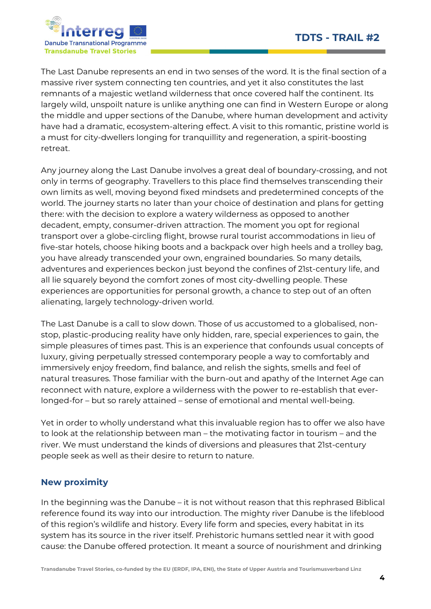



The Last Danube represents an end in two senses of the word. It is the final section of a massive river system connecting ten countries, and yet it also constitutes the last remnants of a majestic wetland wilderness that once covered half the continent. Its largely wild, unspoilt nature is unlike anything one can find in Western Europe or along the middle and upper sections of the Danube, where human development and activity have had a dramatic, ecosystem-altering effect. A visit to this romantic, pristine world is a must for city-dwellers longing for tranquillity and regeneration, a spirit-boosting retreat.

Any journey along the Last Danube involves a great deal of boundary-crossing, and not only in terms of geography. Travellers to this place find themselves transcending their own limits as well, moving beyond fixed mindsets and predetermined concepts of the world. The journey starts no later than your choice of destination and plans for getting there: with the decision to explore a watery wilderness as opposed to another decadent, empty, consumer-driven attraction. The moment you opt for regional transport over a globe-circling flight, browse rural tourist accommodations in lieu of five-star hotels, choose hiking boots and a backpack over high heels and a trolley bag, you have already transcended your own, engrained boundaries. So many details, adventures and experiences beckon just beyond the confines of 21st-century life, and all lie squarely beyond the comfort zones of most city-dwelling people. These experiences are opportunities for personal growth, a chance to step out of an often alienating, largely technology-driven world.

The Last Danube is a call to slow down. Those of us accustomed to a globalised, nonstop, plastic-producing reality have only hidden, rare, special experiences to gain, the simple pleasures of times past. This is an experience that confounds usual concepts of luxury, giving perpetually stressed contemporary people a way to comfortably and immersively enjoy freedom, find balance, and relish the sights, smells and feel of natural treasures. Those familiar with the burn-out and apathy of the Internet Age can reconnect with nature, explore a wilderness with the power to re-establish that everlonged-for – but so rarely attained – sense of emotional and mental well-being.

Yet in order to wholly understand what this invaluable region has to offer we also have to look at the relationship between man – the motivating factor in tourism – and the river. We must understand the kinds of diversions and pleasures that 21st-century people seek as well as their desire to return to nature.

# New proximity

In the beginning was the Danube – it is not without reason that this rephrased Biblical reference found its way into our introduction. The mighty river Danube is the lifeblood of this region's wildlife and history. Every life form and species, every habitat in its system has its source in the river itself. Prehistoric humans settled near it with good cause: the Danube offered protection. It meant a source of nourishment and drinking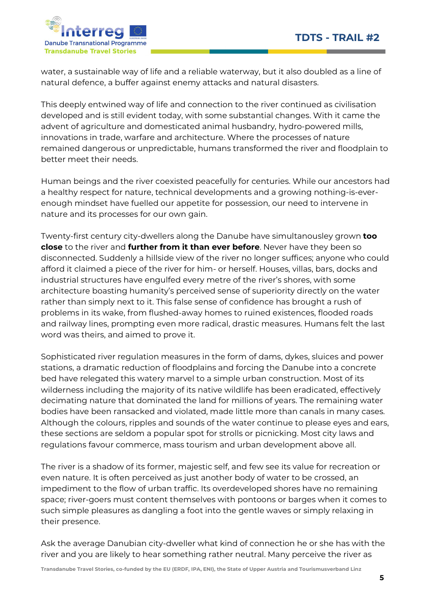

water, a sustainable way of life and a reliable waterway, but it also doubled as a line of natural defence, a buffer against enemy attacks and natural disasters.

This deeply entwined way of life and connection to the river continued as civilisation developed and is still evident today, with some substantial changes. With it came the advent of agriculture and domesticated animal husbandry, hydro-powered mills, innovations in trade, warfare and architecture. Where the processes of nature remained dangerous or unpredictable, humans transformed the river and floodplain to better meet their needs.

Human beings and the river coexisted peacefully for centuries. While our ancestors had a healthy respect for nature, technical developments and a growing nothing-is-everenough mindset have fuelled our appetite for possession, our need to intervene in nature and its processes for our own gain.

Twenty-first century city-dwellers along the Danube have simultanousley grown **too** close to the river and further from it than ever before. Never have they been so disconnected. Suddenly a hillside view of the river no longer suffices; anyone who could afford it claimed a piece of the river for him- or herself. Houses, villas, bars, docks and industrial structures have engulfed every metre of the river's shores, with some architecture boasting humanity's perceived sense of superiority directly on the water rather than simply next to it. This false sense of confidence has brought a rush of problems in its wake, from flushed-away homes to ruined existences, flooded roads and railway lines, prompting even more radical, drastic measures. Humans felt the last word was theirs, and aimed to prove it.

Sophisticated river regulation measures in the form of dams, dykes, sluices and power stations, a dramatic reduction of floodplains and forcing the Danube into a concrete bed have relegated this watery marvel to a simple urban construction. Most of its wilderness including the majority of its native wildlife has been eradicated, effectively decimating nature that dominated the land for millions of years. The remaining water bodies have been ransacked and violated, made little more than canals in many cases. Although the colours, ripples and sounds of the water continue to please eyes and ears, these sections are seldom a popular spot for strolls or picnicking. Most city laws and regulations favour commerce, mass tourism and urban development above all.

The river is a shadow of its former, majestic self, and few see its value for recreation or even nature. It is often perceived as just another body of water to be crossed, an impediment to the flow of urban traffic. Its overdeveloped shores have no remaining space; river-goers must content themselves with pontoons or barges when it comes to such simple pleasures as dangling a foot into the gentle waves or simply relaxing in their presence.

Ask the average Danubian city-dweller what kind of connection he or she has with the river and you are likely to hear something rather neutral. Many perceive the river as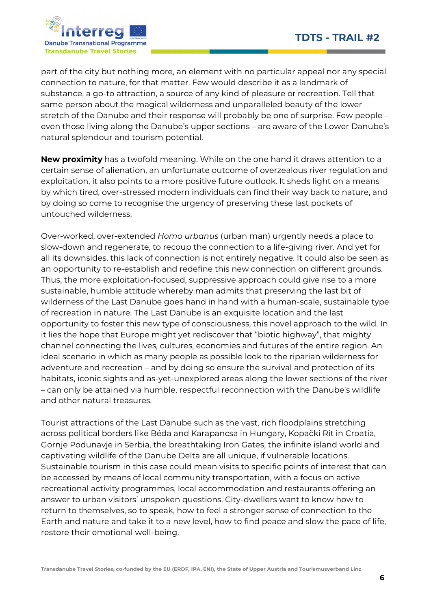

part of the city but nothing more, an element with no particular appeal nor any special connection to nature, for that matter. Few would describe it as a landmark of substance, a go-to attraction, a source of any kind of pleasure or recreation. Tell that same person about the magical wilderness and unparalleled beauty of the lower stretch of the Danube and their response will probably be one of surprise. Few people – even those living along the Danube's upper sections – are aware of the Lower Danube's natural splendour and tourism potential.

New proximity has a twofold meaning. While on the one hand it draws attention to a certain sense of alienation, an unfortunate outcome of overzealous river regulation and exploitation, it also points to a more positive future outlook. It sheds light on a means by which tired, over-stressed modern individuals can find their way back to nature, and by doing so come to recognise the urgency of preserving these last pockets of untouched wilderness.

Over-worked, over-extended Homo urbanus (urban man) urgently needs a place to slow-down and regenerate, to recoup the connection to a life-giving river. And yet for all its downsides, this lack of connection is not entirely negative. It could also be seen as an opportunity to re-establish and redefine this new connection on different grounds. Thus, the more exploitation-focused, suppressive approach could give rise to a more sustainable, humble attitude whereby man admits that preserving the last bit of wilderness of the Last Danube goes hand in hand with a human-scale, sustainable type of recreation in nature. The Last Danube is an exquisite location and the last opportunity to foster this new type of consciousness, this novel approach to the wild. In it lies the hope that Europe might yet rediscover that "biotic highway", that mighty channel connecting the lives, cultures, economies and futures of the entire region. An ideal scenario in which as many people as possible look to the riparian wilderness for adventure and recreation – and by doing so ensure the survival and protection of its habitats, iconic sights and as-yet-unexplored areas along the lower sections of the river – can only be attained via humble, respectful reconnection with the Danube's wildlife and other natural treasures.

Tourist attractions of the Last Danube such as the vast, rich floodplains stretching across political borders like Béda and Karapancsa in Hungary, Kopački Rit in Croatia, Gornje Podunavje in Serbia, the breathtaking Iron Gates, the infinite island world and captivating wildlife of the Danube Delta are all unique, if vulnerable locations. Sustainable tourism in this case could mean visits to specific points of interest that can be accessed by means of local community transportation, with a focus on active recreational activity programmes, local accommodation and restaurants offering an answer to urban visitors' unspoken questions. City-dwellers want to know how to return to themselves, so to speak, how to feel a stronger sense of connection to the Earth and nature and take it to a new level, how to find peace and slow the pace of life, restore their emotional well-being.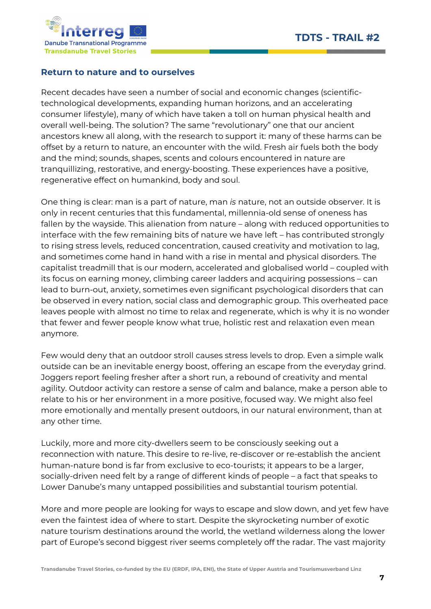

### Return to nature and to ourselves

Recent decades have seen a number of social and economic changes (scientifictechnological developments, expanding human horizons, and an accelerating consumer lifestyle), many of which have taken a toll on human physical health and overall well-being. The solution? The same "revolutionary" one that our ancient ancestors knew all along, with the research to support it: many of these harms can be offset by a return to nature, an encounter with the wild. Fresh air fuels both the body and the mind; sounds, shapes, scents and colours encountered in nature are tranquillizing, restorative, and energy-boosting. These experiences have a positive, regenerative effect on humankind, body and soul.

One thing is clear: man is a part of nature, man is nature, not an outside observer. It is only in recent centuries that this fundamental, millennia-old sense of oneness has fallen by the wayside. This alienation from nature – along with reduced opportunities to interface with the few remaining bits of nature we have left – has contributed strongly to rising stress levels, reduced concentration, caused creativity and motivation to lag, and sometimes come hand in hand with a rise in mental and physical disorders. The capitalist treadmill that is our modern, accelerated and globalised world – coupled with its focus on earning money, climbing career ladders and acquiring possessions – can lead to burn-out, anxiety, sometimes even significant psychological disorders that can be observed in every nation, social class and demographic group. This overheated pace leaves people with almost no time to relax and regenerate, which is why it is no wonder that fewer and fewer people know what true, holistic rest and relaxation even mean anymore.

Few would deny that an outdoor stroll causes stress levels to drop. Even a simple walk outside can be an inevitable energy boost, offering an escape from the everyday grind. Joggers report feeling fresher after a short run, a rebound of creativity and mental agility. Outdoor activity can restore a sense of calm and balance, make a person able to relate to his or her environment in a more positive, focused way. We might also feel more emotionally and mentally present outdoors, in our natural environment, than at any other time.

Luckily, more and more city-dwellers seem to be consciously seeking out a reconnection with nature. This desire to re-live, re-discover or re-establish the ancient human-nature bond is far from exclusive to eco-tourists; it appears to be a larger, socially-driven need felt by a range of different kinds of people – a fact that speaks to Lower Danube's many untapped possibilities and substantial tourism potential.

More and more people are looking for ways to escape and slow down, and yet few have even the faintest idea of where to start. Despite the skyrocketing number of exotic nature tourism destinations around the world, the wetland wilderness along the lower part of Europe's second biggest river seems completely off the radar. The vast majority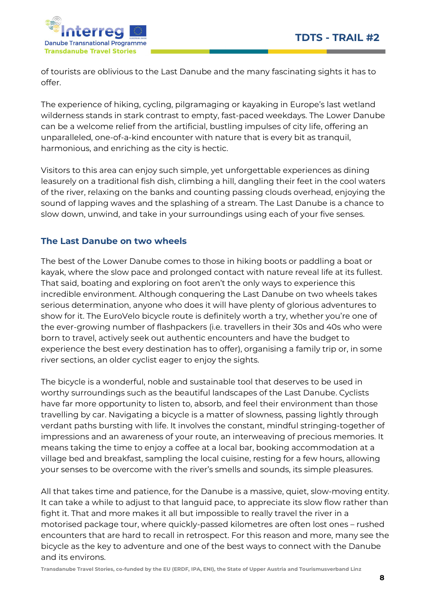

of tourists are oblivious to the Last Danube and the many fascinating sights it has to offer.

The experience of hiking, cycling, pilgramaging or kayaking in Europe's last wetland wilderness stands in stark contrast to empty, fast-paced weekdays. The Lower Danube can be a welcome relief from the artificial, bustling impulses of city life, offering an unparalleled, one-of-a-kind encounter with nature that is every bit as tranquil, harmonious, and enriching as the city is hectic.

Visitors to this area can enjoy such simple, yet unforgettable experiences as dining leasurely on a traditional fish dish, climbing a hill, dangling their feet in the cool waters of the river, relaxing on the banks and counting passing clouds overhead, enjoying the sound of lapping waves and the splashing of a stream. The Last Danube is a chance to slow down, unwind, and take in your surroundings using each of your five senses.

# The Last Danube on two wheels

The best of the Lower Danube comes to those in hiking boots or paddling a boat or kayak, where the slow pace and prolonged contact with nature reveal life at its fullest. That said, boating and exploring on foot aren't the only ways to experience this incredible environment. Although conquering the Last Danube on two wheels takes serious determination, anyone who does it will have plenty of glorious adventures to show for it. The EuroVelo bicycle route is definitely worth a try, whether you're one of the ever-growing number of flashpackers (i.e. travellers in their 30s and 40s who were born to travel, actively seek out authentic encounters and have the budget to experience the best every destination has to offer), organising a family trip or, in some river sections, an older cyclist eager to enjoy the sights.

The bicycle is a wonderful, noble and sustainable tool that deserves to be used in worthy surroundings such as the beautiful landscapes of the Last Danube. Cyclists have far more opportunity to listen to, absorb, and feel their environment than those travelling by car. Navigating a bicycle is a matter of slowness, passing lightly through verdant paths bursting with life. It involves the constant, mindful stringing-together of impressions and an awareness of your route, an interweaving of precious memories. It means taking the time to enjoy a coffee at a local bar, booking accommodation at a village bed and breakfast, sampling the local cuisine, resting for a few hours, allowing your senses to be overcome with the river's smells and sounds, its simple pleasures.

All that takes time and patience, for the Danube is a massive, quiet, slow-moving entity. It can take a while to adjust to that languid pace, to appreciate its slow flow rather than fight it. That and more makes it all but impossible to really travel the river in a motorised package tour, where quickly-passed kilometres are often lost ones – rushed encounters that are hard to recall in retrospect. For this reason and more, many see the bicycle as the key to adventure and one of the best ways to connect with the Danube and its environs.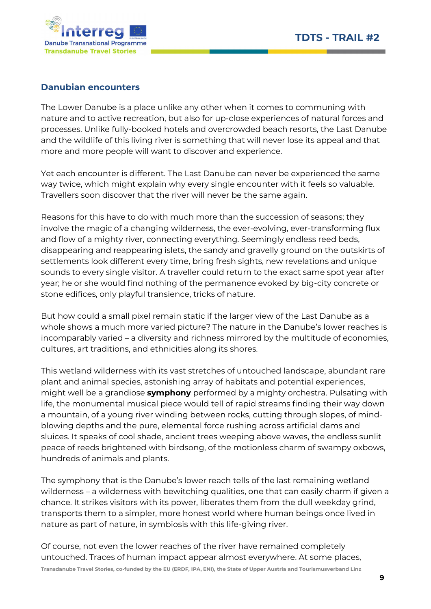

### Danubian encounters

The Lower Danube is a place unlike any other when it comes to communing with nature and to active recreation, but also for up-close experiences of natural forces and processes. Unlike fully-booked hotels and overcrowded beach resorts, the Last Danube and the wildlife of this living river is something that will never lose its appeal and that more and more people will want to discover and experience.

Yet each encounter is different. The Last Danube can never be experienced the same way twice, which might explain why every single encounter with it feels so valuable. Travellers soon discover that the river will never be the same again.

Reasons for this have to do with much more than the succession of seasons; they involve the magic of a changing wilderness, the ever-evolving, ever-transforming flux and flow of a mighty river, connecting everything. Seemingly endless reed beds, disappearing and reappearing islets, the sandy and gravelly ground on the outskirts of settlements look different every time, bring fresh sights, new revelations and unique sounds to every single visitor. A traveller could return to the exact same spot year after year; he or she would find nothing of the permanence evoked by big-city concrete or stone edifices, only playful transience, tricks of nature.

But how could a small pixel remain static if the larger view of the Last Danube as a whole shows a much more varied picture? The nature in the Danube's lower reaches is incomparably varied – a diversity and richness mirrored by the multitude of economies, cultures, art traditions, and ethnicities along its shores.

This wetland wilderness with its vast stretches of untouched landscape, abundant rare plant and animal species, astonishing array of habitats and potential experiences, might well be a grandiose **symphony** performed by a mighty orchestra. Pulsating with life, the monumental musical piece would tell of rapid streams finding their way down a mountain, of a young river winding between rocks, cutting through slopes, of mindblowing depths and the pure, elemental force rushing across artificial dams and sluices. It speaks of cool shade, ancient trees weeping above waves, the endless sunlit peace of reeds brightened with birdsong, of the motionless charm of swampy oxbows, hundreds of animals and plants.

The symphony that is the Danube's lower reach tells of the last remaining wetland wilderness – a wilderness with bewitching qualities, one that can easily charm if given a chance. It strikes visitors with its power, liberates them from the dull weekday grind, transports them to a simpler, more honest world where human beings once lived in nature as part of nature, in symbiosis with this life-giving river.

Transdanube Travel Stories, co-funded by the EU (ERDF, IPA, ENI), the State of Upper Austria and Tourismusverband Linz Of course, not even the lower reaches of the river have remained completely untouched. Traces of human impact appear almost everywhere. At some places,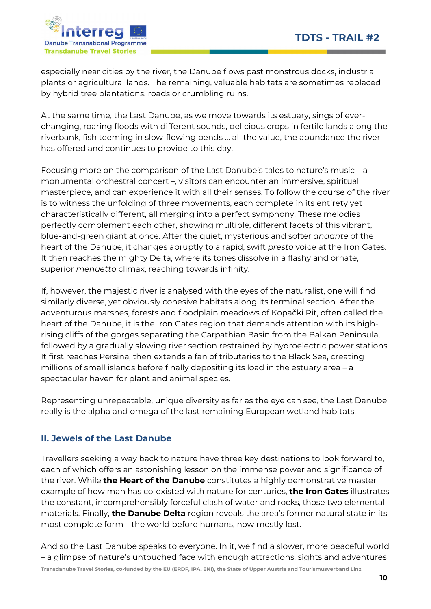

especially near cities by the river, the Danube flows past monstrous docks, industrial plants or agricultural lands. The remaining, valuable habitats are sometimes replaced by hybrid tree plantations, roads or crumbling ruins.

At the same time, the Last Danube, as we move towards its estuary, sings of everchanging, roaring floods with different sounds, delicious crops in fertile lands along the riverbank, fish teeming in slow-flowing bends … all the value, the abundance the river has offered and continues to provide to this day.

Focusing more on the comparison of the Last Danube's tales to nature's music – a monumental orchestral concert –, visitors can encounter an immersive, spiritual masterpiece, and can experience it with all their senses. To follow the course of the river is to witness the unfolding of three movements, each complete in its entirety yet characteristically different, all merging into a perfect symphony. These melodies perfectly complement each other, showing multiple, different facets of this vibrant, blue-and-green giant at once. After the quiet, mysterious and softer andante of the heart of the Danube, it changes abruptly to a rapid, swift presto voice at the Iron Gates. It then reaches the mighty Delta, where its tones dissolve in a flashy and ornate, superior menuetto climax, reaching towards infinity.

If, however, the majestic river is analysed with the eyes of the naturalist, one will find similarly diverse, yet obviously cohesive habitats along its terminal section. After the adventurous marshes, forests and floodplain meadows of Kopački Rit, often called the heart of the Danube, it is the Iron Gates region that demands attention with its highrising cliffs of the gorges separating the Carpathian Basin from the Balkan Peninsula, followed by a gradually slowing river section restrained by hydroelectric power stations. It first reaches Persina, then extends a fan of tributaries to the Black Sea, creating millions of small islands before finally depositing its load in the estuary area – a spectacular haven for plant and animal species.

Representing unrepeatable, unique diversity as far as the eye can see, the Last Danube really is the alpha and omega of the last remaining European wetland habitats.

# II. Jewels of the Last Danube

Travellers seeking a way back to nature have three key destinations to look forward to, each of which offers an astonishing lesson on the immense power and significance of the river. While **the Heart of the Danube** constitutes a highly demonstrative master example of how man has co-existed with nature for centuries, **the Iron Gates** illustrates the constant, incomprehensibly forceful clash of water and rocks, those two elemental materials. Finally, the Danube Delta region reveals the area's former natural state in its most complete form – the world before humans, now mostly lost.

And so the Last Danube speaks to everyone. In it, we find a slower, more peaceful world – a glimpse of nature's untouched face with enough attractions, sights and adventures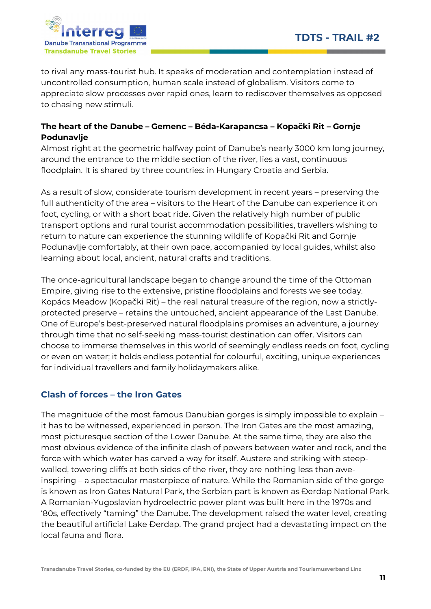

to rival any mass-tourist hub. It speaks of moderation and contemplation instead of uncontrolled consumption, human scale instead of globalism. Visitors come to appreciate slow processes over rapid ones, learn to rediscover themselves as opposed to chasing new stimuli.

# The heart of the Danube – Gemenc – Béda-Karapancsa – Kopački Rit – Gornje Podunavlje

Almost right at the geometric halfway point of Danube's nearly 3000 km long journey, around the entrance to the middle section of the river, lies a vast, continuous floodplain. It is shared by three countries: in Hungary Croatia and Serbia.

As a result of slow, considerate tourism development in recent years – preserving the full authenticity of the area – visitors to the Heart of the Danube can experience it on foot, cycling, or with a short boat ride. Given the relatively high number of public transport options and rural tourist accommodation possibilities, travellers wishing to return to nature can experience the stunning wildlife of Kopački Rit and Gornje Podunavlje comfortably, at their own pace, accompanied by local guides, whilst also learning about local, ancient, natural crafts and traditions.

The once-agricultural landscape began to change around the time of the Ottoman Empire, giving rise to the extensive, pristine floodplains and forests we see today. Kopács Meadow (Kopački Rit) – the real natural treasure of the region, now a strictlyprotected preserve – retains the untouched, ancient appearance of the Last Danube. One of Europe's best-preserved natural floodplains promises an adventure, a journey through time that no self-seeking mass-tourist destination can offer. Visitors can choose to immerse themselves in this world of seemingly endless reeds on foot, cycling or even on water; it holds endless potential for colourful, exciting, unique experiences for individual travellers and family holidaymakers alike.

# Clash of forces – the Iron Gates

The magnitude of the most famous Danubian gorges is simply impossible to explain – it has to be witnessed, experienced in person. The Iron Gates are the most amazing, most picturesque section of the Lower Danube. At the same time, they are also the most obvious evidence of the infinite clash of powers between water and rock, and the force with which water has carved a way for itself. Austere and striking with steepwalled, towering cliffs at both sides of the river, they are nothing less than aweinspiring – a spectacular masterpiece of nature. While the Romanian side of the gorge is known as Iron Gates Natural Park, the Serbian part is known as Đerdap National Park. A Romanian-Yugoslavian hydroelectric power plant was built here in the 1970s and '80s, effectively "taming" the Danube. The development raised the water level, creating the beautiful artificial Lake Đerdap. The grand project had a devastating impact on the local fauna and flora.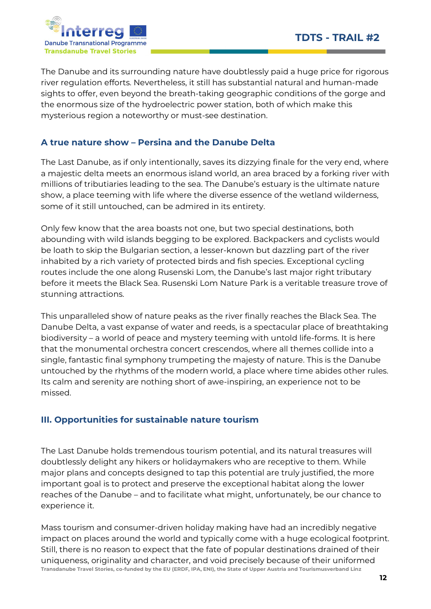

The Danube and its surrounding nature have doubtlessly paid a huge price for rigorous river regulation efforts. Nevertheless, it still has substantial natural and human-made sights to offer, even beyond the breath-taking geographic conditions of the gorge and the enormous size of the hydroelectric power station, both of which make this mysterious region a noteworthy or must-see destination.

# A true nature show – Persina and the Danube Delta

The Last Danube, as if only intentionally, saves its dizzying finale for the very end, where a majestic delta meets an enormous island world, an area braced by a forking river with millions of tributiaries leading to the sea. The Danube's estuary is the ultimate nature show, a place teeming with life where the diverse essence of the wetland wilderness, some of it still untouched, can be admired in its entirety.

Only few know that the area boasts not one, but two special destinations, both abounding with wild islands begging to be explored. Backpackers and cyclists would be loath to skip the Bulgarian section, a lesser-known but dazzling part of the river inhabited by a rich variety of protected birds and fish species. Exceptional cycling routes include the one along Rusenski Lom, the Danube's last major right tributary before it meets the Black Sea. Rusenski Lom Nature Park is a veritable treasure trove of stunning attractions.

This unparalleled show of nature peaks as the river finally reaches the Black Sea. The Danube Delta, a vast expanse of water and reeds, is a spectacular place of breathtaking biodiversity – a world of peace and mystery teeming with untold life-forms. It is here that the monumental orchestra concert crescendos, where all themes collide into a single, fantastic final symphony trumpeting the majesty of nature. This is the Danube untouched by the rhythms of the modern world, a place where time abides other rules. Its calm and serenity are nothing short of awe-inspiring, an experience not to be missed.

# III. Opportunities for sustainable nature tourism

The Last Danube holds tremendous tourism potential, and its natural treasures will doubtlessly delight any hikers or holidaymakers who are receptive to them. While major plans and concepts designed to tap this potential are truly justified, the more important goal is to protect and preserve the exceptional habitat along the lower reaches of the Danube – and to facilitate what might, unfortunately, be our chance to experience it.

Transdanube Travel Stories, co-funded by the EU (ERDF, IPA, ENI), the State of Upper Austria and Tourismusverband Linz Mass tourism and consumer-driven holiday making have had an incredibly negative impact on places around the world and typically come with a huge ecological footprint. Still, there is no reason to expect that the fate of popular destinations drained of their uniqueness, originality and character, and void precisely because of their uniformed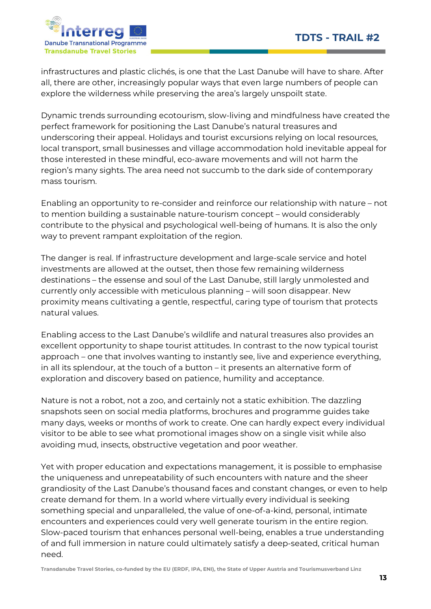

infrastructures and plastic clichés, is one that the Last Danube will have to share. After all, there are other, increasingly popular ways that even large numbers of people can explore the wilderness while preserving the area's largely unspoilt state.

Dynamic trends surrounding ecotourism, slow-living and mindfulness have created the perfect framework for positioning the Last Danube's natural treasures and underscoring their appeal. Holidays and tourist excursions relying on local resources, local transport, small businesses and village accommodation hold inevitable appeal for those interested in these mindful, eco-aware movements and will not harm the region's many sights. The area need not succumb to the dark side of contemporary mass tourism.

Enabling an opportunity to re-consider and reinforce our relationship with nature – not to mention building a sustainable nature-tourism concept – would considerably contribute to the physical and psychological well-being of humans. It is also the only way to prevent rampant exploitation of the region.

The danger is real. If infrastructure development and large-scale service and hotel investments are allowed at the outset, then those few remaining wilderness destinations – the essense and soul of the Last Danube, still largly unmolested and currently only accessible with meticulous planning – will soon disappear. New proximity means cultivating a gentle, respectful, caring type of tourism that protects natural values.

Enabling access to the Last Danube's wildlife and natural treasures also provides an excellent opportunity to shape tourist attitudes. In contrast to the now typical tourist approach – one that involves wanting to instantly see, live and experience everything, in all its splendour, at the touch of a button – it presents an alternative form of exploration and discovery based on patience, humility and acceptance.

Nature is not a robot, not a zoo, and certainly not a static exhibition. The dazzling snapshots seen on social media platforms, brochures and programme guides take many days, weeks or months of work to create. One can hardly expect every individual visitor to be able to see what promotional images show on a single visit while also avoiding mud, insects, obstructive vegetation and poor weather.

Yet with proper education and expectations management, it is possible to emphasise the uniqueness and unrepeatability of such encounters with nature and the sheer grandiosity of the Last Danube's thousand faces and constant changes, or even to help create demand for them. In a world where virtually every individual is seeking something special and unparalleled, the value of one-of-a-kind, personal, intimate encounters and experiences could very well generate tourism in the entire region. Slow-paced tourism that enhances personal well-being, enables a true understanding of and full immersion in nature could ultimately satisfy a deep-seated, critical human need.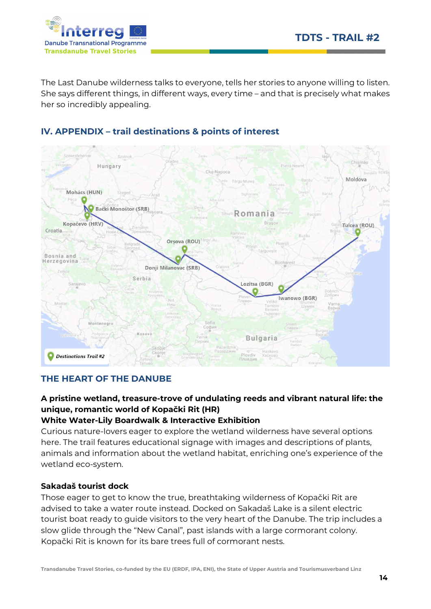

The Last Danube wilderness talks to everyone, tells her stories to anyone willing to listen. She says different things, in different ways, every time – and that is precisely what makes her so incredibly appealing.



# IV. APPENDIX – trail destinations & points of interest

### THE HEART OF THE DANUBE

# A pristine wetland, treasure-trove of undulating reeds and vibrant natural life: the unique, romantic world of Kopački Rit (HR)

#### White Water-Lily Boardwalk & Interactive Exhibition

Curious nature-lovers eager to explore the wetland wilderness have several options here. The trail features educational signage with images and descriptions of plants, animals and information about the wetland habitat, enriching one's experience of the wetland eco-system.

#### Sakadaš tourist dock

Those eager to get to know the true, breathtaking wilderness of Kopački Rit are advised to take a water route instead. Docked on Sakadaš Lake is a silent electric tourist boat ready to guide visitors to the very heart of the Danube. The trip includes a slow glide through the "New Canal", past islands with a large cormorant colony. Kopački Rit is known for its bare trees full of cormorant nests.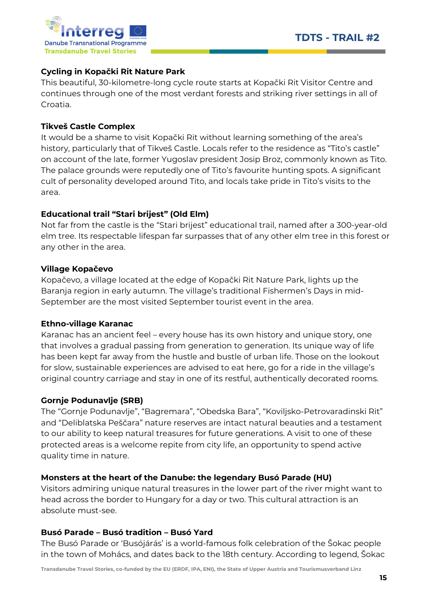

### Cycling in Kopački Rit Nature Park

This beautiful, 30-kilometre-long cycle route starts at Kopački Rit Visitor Centre and continues through one of the most verdant forests and striking river settings in all of Croatia.

### Tikveš Castle Complex

It would be a shame to visit Kopački Rit without learning something of the area's history, particularly that of Tikveš Castle. Locals refer to the residence as "Tito's castle" on account of the late, former Yugoslav president Josip Broz, commonly known as Tito. The palace grounds were reputedly one of Tito's favourite hunting spots. A significant cult of personality developed around Tito, and locals take pride in Tito's visits to the area.

#### Educational trail "Stari brijest" (Old Elm)

Not far from the castle is the "Stari brijest" educational trail, named after a 300-year-old elm tree. Its respectable lifespan far surpasses that of any other elm tree in this forest or any other in the area.

#### Village Kopačevo

Kopačevo, a village located at the edge of Kopački Rit Nature Park, lights up the Baranja region in early autumn. The village's traditional Fishermen's Days in mid-September are the most visited September tourist event in the area.

#### Ethno-village Karanac

Karanac has an ancient feel – every house has its own history and unique story, one that involves a gradual passing from generation to generation. Its unique way of life has been kept far away from the hustle and bustle of urban life. Those on the lookout for slow, sustainable experiences are advised to eat here, go for a ride in the village's original country carriage and stay in one of its restful, authentically decorated rooms.

### Gornje Podunavlje (SRB)

The "Gornje Podunavlje", "Bagremara", "Obedska Bara", "Koviljsko-Petrovaradinski Rit" and "Deliblatska Peščara" nature reserves are intact natural beauties and a testament to our ability to keep natural treasures for future generations. A visit to one of these protected areas is a welcome repite from city life, an opportunity to spend active quality time in nature.

### Monsters at the heart of the Danube: the legendary Busó Parade (HU)

Visitors admiring unique natural treasures in the lower part of the river might want to head across the border to Hungary for a day or two. This cultural attraction is an absolute must-see.

#### Busó Parade – Busó tradition – Busó Yard

The Busó Parade or 'Busójárás' is a world-famous folk celebration of the Šokac people in the town of Mohács, and dates back to the 18th century. According to legend, Šokac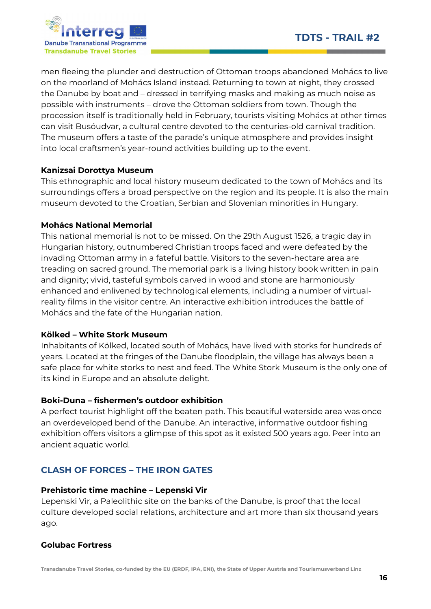

men fleeing the plunder and destruction of Ottoman troops abandoned Mohács to live on the moorland of Mohács Island instead. Returning to town at night, they crossed the Danube by boat and – dressed in terrifying masks and making as much noise as possible with instruments – drove the Ottoman soldiers from town. Though the procession itself is traditionally held in February, tourists visiting Mohács at other times can visit Busóudvar, a cultural centre devoted to the centuries-old carnival tradition. The museum offers a taste of the parade's unique atmosphere and provides insight into local craftsmen's year-round activities building up to the event.

#### Kanizsai Dorottya Museum

This ethnographic and local history museum dedicated to the town of Mohács and its surroundings offers a broad perspective on the region and its people. It is also the main museum devoted to the Croatian, Serbian and Slovenian minorities in Hungary.

#### Mohács National Memorial

This national memorial is not to be missed. On the 29th August 1526, a tragic day in Hungarian history, outnumbered Christian troops faced and were defeated by the invading Ottoman army in a fateful battle. Visitors to the seven-hectare area are treading on sacred ground. The memorial park is a living history book written in pain and dignity; vivid, tasteful symbols carved in wood and stone are harmoniously enhanced and enlivened by technological elements, including a number of virtualreality films in the visitor centre. An interactive exhibition introduces the battle of Mohács and the fate of the Hungarian nation.

#### Kölked – White Stork Museum

Inhabitants of Kölked, located south of Mohács, have lived with storks for hundreds of years. Located at the fringes of the Danube floodplain, the village has always been a safe place for white storks to nest and feed. The White Stork Museum is the only one of its kind in Europe and an absolute delight.

### Boki-Duna – fishermen's outdoor exhibition

A perfect tourist highlight off the beaten path. This beautiful waterside area was once an overdeveloped bend of the Danube. An interactive, informative outdoor fishing exhibition offers visitors a glimpse of this spot as it existed 500 years ago. Peer into an ancient aquatic world.

# CLASH OF FORCES – THE IRON GATES

#### Prehistoric time machine – Lepenski Vir

Lepenski Vir, a Paleolithic site on the banks of the Danube, is proof that the local culture developed social relations, architecture and art more than six thousand years ago.

#### Golubac Fortress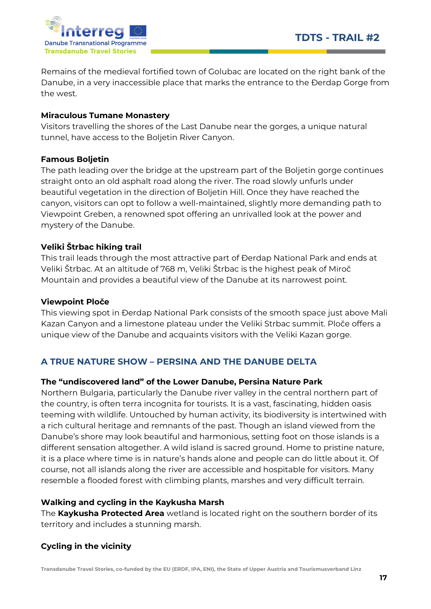

Remains of the medieval fortified town of Golubac are located on the right bank of the Danube, in a very inaccessible place that marks the entrance to the Đerdap Gorge from the west.

#### Miraculous Tumane Monastery

Visitors travelling the shores of the Last Danube near the gorges, a unique natural tunnel, have access to the Boljetin River Canyon.

#### Famous Boljetin

The path leading over the bridge at the upstream part of the Boljetin gorge continues straight onto an old asphalt road along the river. The road slowly unfurls under beautiful vegetation in the direction of Boljetin Hill. Once they have reached the canyon, visitors can opt to follow a well-maintained, slightly more demanding path to Viewpoint Greben, a renowned spot offering an unrivalled look at the power and mystery of the Danube.

#### Veliki Štrbac hiking trail

This trail leads through the most attractive part of Đerdap National Park and ends at Veliki Štrbac. At an altitude of 768 m, Veliki Štrbac is the highest peak of Miroč Mountain and provides a beautiful view of the Danube at its narrowest point.

#### Viewpoint Ploče

This viewing spot in Đerdap National Park consists of the smooth space just above Mali Kazan Canyon and a limestone plateau under the Veliki Strbac summit. Ploče offers a unique view of the Danube and acquaints visitors with the Veliki Kazan gorge.

# A TRUE NATURE SHOW – PERSINA AND THE DANUBE DELTA

#### The "undiscovered land" of the Lower Danube, Persina Nature Park

Northern Bulgaria, particularly the Danube river valley in the central northern part of the country, is often terra incognita for tourists. It is a vast, fascinating, hidden oasis teeming with wildlife. Untouched by human activity, its biodiversity is intertwined with a rich cultural heritage and remnants of the past. Though an island viewed from the Danube's shore may look beautiful and harmonious, setting foot on those islands is a different sensation altogether. A wild island is sacred ground. Home to pristine nature, it is a place where time is in nature's hands alone and people can do little about it. Of course, not all islands along the river are accessible and hospitable for visitors. Many resemble a flooded forest with climbing plants, marshes and very difficult terrain.

#### Walking and cycling in the Kaykusha Marsh

The Kaykusha Protected Area wetland is located right on the southern border of its territory and includes a stunning marsh.

### Cycling in the vicinity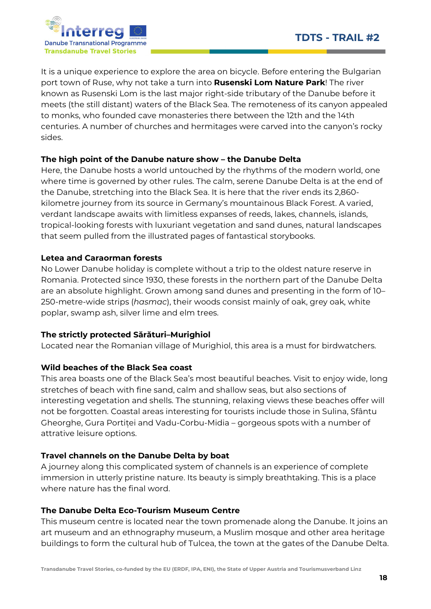

It is a unique experience to explore the area on bicycle. Before entering the Bulgarian port town of Ruse, why not take a turn into **Rusenski Lom Nature Park**! The river known as Rusenski Lom is the last major right-side tributary of the Danube before it meets (the still distant) waters of the Black Sea. The remoteness of its canyon appealed to monks, who founded cave monasteries there between the 12th and the 14th centuries. A number of churches and hermitages were carved into the canyon's rocky sides.

### The high point of the Danube nature show – the Danube Delta

Here, the Danube hosts a world untouched by the rhythms of the modern world, one where time is governed by other rules. The calm, serene Danube Delta is at the end of the Danube, stretching into the Black Sea. It is here that the river ends its 2,860 kilometre journey from its source in Germany's mountainous Black Forest. A varied, verdant landscape awaits with limitless expanses of reeds, lakes, channels, islands, tropical-looking forests with luxuriant vegetation and sand dunes, natural landscapes that seem pulled from the illustrated pages of fantastical storybooks.

### Letea and Caraorman forests

No Lower Danube holiday is complete without a trip to the oldest nature reserve in Romania. Protected since 1930, these forests in the northern part of the Danube Delta are an absolute highlight. Grown among sand dunes and presenting in the form of 10– 250-metre-wide strips (hasmac), their woods consist mainly of oak, grey oak, white poplar, swamp ash, silver lime and elm trees.

# The strictly protected Sărături–Murighiol

Located near the Romanian village of Murighiol, this area is a must for birdwatchers.

# Wild beaches of the Black Sea coast

This area boasts one of the Black Sea's most beautiful beaches. Visit to enjoy wide, long stretches of beach with fine sand, calm and shallow seas, but also sections of interesting vegetation and shells. The stunning, relaxing views these beaches offer will not be forgotten. Coastal areas interesting for tourists include those in Sulina, Sfântu Gheorghe, Gura Portiței and Vadu-Corbu-Midia – gorgeous spots with a number of attrative leisure options.

# Travel channels on the Danube Delta by boat

A journey along this complicated system of channels is an experience of complete immersion in utterly pristine nature. Its beauty is simply breathtaking. This is a place where nature has the final word.

### The Danube Delta Eco-Tourism Museum Centre

This museum centre is located near the town promenade along the Danube. It joins an art museum and an ethnography museum, a Muslim mosque and other area heritage buildings to form the cultural hub of Tulcea, the town at the gates of the Danube Delta.